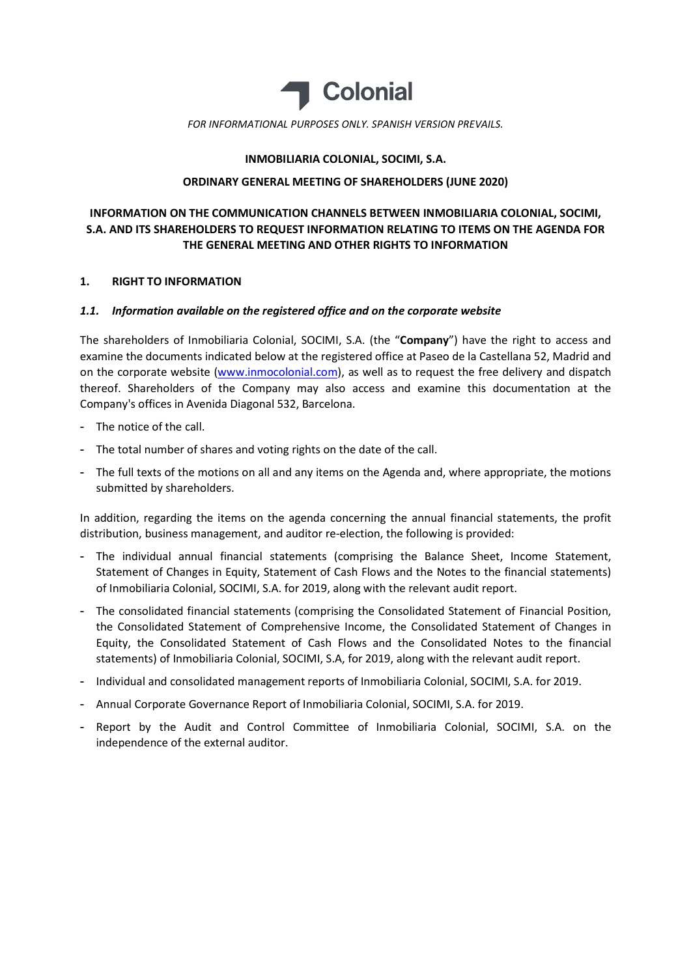

# INMOBILIARIA COLONIAL, SOCIMI, S.A.

## ORDINARY GENERAL MEETING OF SHAREHOLDERS (JUNE 2020)

# INFORMATION ON THE COMMUNICATION CHANNELS BETWEEN INMOBILIARIA COLONIAL, SOCIMI, S.A. AND ITS SHAREHOLDERS TO REQUEST INFORMATION RELATING TO ITEMS ON THE AGENDA FOR THE GENERAL MEETING AND OTHER RIGHTS TO INFORMATION

## 1. RIGHT TO INFORMATION

## 1.1. Information available on the registered office and on the corporate website

The shareholders of Inmobiliaria Colonial, SOCIMI, S.A. (the "Company") have the right to access and examine the documents indicated below at the registered office at Paseo de la Castellana 52, Madrid and on the corporate website (www.inmocolonial.com), as well as to request the free delivery and dispatch thereof. Shareholders of the Company may also access and examine this documentation at the Company's offices in Avenida Diagonal 532, Barcelona.

- The notice of the call.
- The total number of shares and voting rights on the date of the call.
- The full texts of the motions on all and any items on the Agenda and, where appropriate, the motions submitted by shareholders.

In addition, regarding the items on the agenda concerning the annual financial statements, the profit distribution, business management, and auditor re-election, the following is provided:

- The individual annual financial statements (comprising the Balance Sheet, Income Statement, Statement of Changes in Equity, Statement of Cash Flows and the Notes to the financial statements) of Inmobiliaria Colonial, SOCIMI, S.A. for 2019, along with the relevant audit report.
- The consolidated financial statements (comprising the Consolidated Statement of Financial Position, the Consolidated Statement of Comprehensive Income, the Consolidated Statement of Changes in Equity, the Consolidated Statement of Cash Flows and the Consolidated Notes to the financial statements) of Inmobiliaria Colonial, SOCIMI, S.A, for 2019, along with the relevant audit report.
- Individual and consolidated management reports of Inmobiliaria Colonial, SOCIMI, S.A. for 2019.
- Annual Corporate Governance Report of Inmobiliaria Colonial, SOCIMI, S.A. for 2019.
- Report by the Audit and Control Committee of Inmobiliaria Colonial, SOCIMI, S.A. on the independence of the external auditor.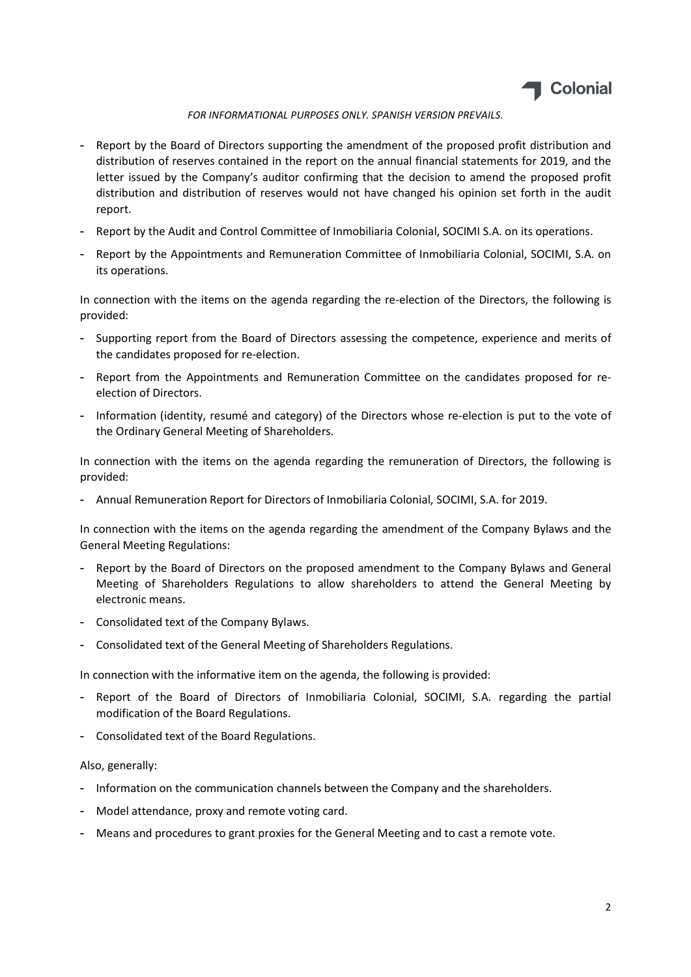

- Report by the Board of Directors supporting the amendment of the proposed profit distribution and distribution of reserves contained in the report on the annual financial statements for 2019, and the letter issued by the Company's auditor confirming that the decision to amend the proposed profit distribution and distribution of reserves would not have changed his opinion set forth in the audit report.
- Report by the Audit and Control Committee of Inmobiliaria Colonial, SOCIMI S.A. on its operations.
- Report by the Appointments and Remuneration Committee of Inmobiliaria Colonial, SOCIMI, S.A. on its operations.

In connection with the items on the agenda regarding the re-election of the Directors, the following is provided:

- Supporting report from the Board of Directors assessing the competence, experience and merits of the candidates proposed for re-election.
- Report from the Appointments and Remuneration Committee on the candidates proposed for reelection of Directors.
- Information (identity, resumé and category) of the Directors whose re-election is put to the vote of the Ordinary General Meeting of Shareholders.

In connection with the items on the agenda regarding the remuneration of Directors, the following is provided:

- Annual Remuneration Report for Directors of Inmobiliaria Colonial, SOCIMI, S.A. for 2019.

In connection with the items on the agenda regarding the amendment of the Company Bylaws and the General Meeting Regulations:

- Report by the Board of Directors on the proposed amendment to the Company Bylaws and General Meeting of Shareholders Regulations to allow shareholders to attend the General Meeting by electronic means.
- Consolidated text of the Company Bylaws.
- Consolidated text of the General Meeting of Shareholders Regulations.

In connection with the informative item on the agenda, the following is provided:

- Report of the Board of Directors of Inmobiliaria Colonial, SOCIMI, S.A. regarding the partial modification of the Board Regulations.
- Consolidated text of the Board Regulations.

#### Also, generally:

- Information on the communication channels between the Company and the shareholders.
- Model attendance, proxy and remote voting card.
- Means and procedures to grant proxies for the General Meeting and to cast a remote vote.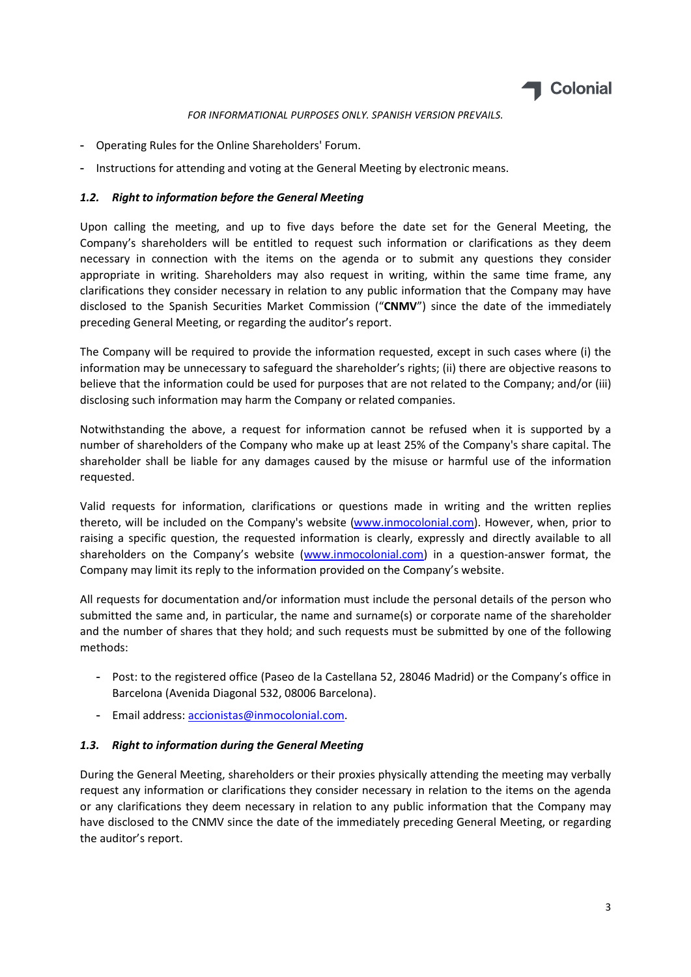

- Operating Rules for the Online Shareholders' Forum.
- Instructions for attending and voting at the General Meeting by electronic means.

# 1.2. Right to information before the General Meeting

Upon calling the meeting, and up to five days before the date set for the General Meeting, the Company's shareholders will be entitled to request such information or clarifications as they deem necessary in connection with the items on the agenda or to submit any questions they consider appropriate in writing. Shareholders may also request in writing, within the same time frame, any clarifications they consider necessary in relation to any public information that the Company may have disclosed to the Spanish Securities Market Commission ("CNMV") since the date of the immediately preceding General Meeting, or regarding the auditor's report.

The Company will be required to provide the information requested, except in such cases where (i) the information may be unnecessary to safeguard the shareholder's rights; (ii) there are objective reasons to believe that the information could be used for purposes that are not related to the Company; and/or (iii) disclosing such information may harm the Company or related companies.

Notwithstanding the above, a request for information cannot be refused when it is supported by a number of shareholders of the Company who make up at least 25% of the Company's share capital. The shareholder shall be liable for any damages caused by the misuse or harmful use of the information requested.

Valid requests for information, clarifications or questions made in writing and the written replies thereto, will be included on the Company's website (www.inmocolonial.com). However, when, prior to raising a specific question, the requested information is clearly, expressly and directly available to all shareholders on the Company's website (www.inmocolonial.com) in a question-answer format, the Company may limit its reply to the information provided on the Company's website.

All requests for documentation and/or information must include the personal details of the person who submitted the same and, in particular, the name and surname(s) or corporate name of the shareholder and the number of shares that they hold; and such requests must be submitted by one of the following methods:

- Post: to the registered office (Paseo de la Castellana 52, 28046 Madrid) or the Company's office in Barcelona (Avenida Diagonal 532, 08006 Barcelona).
- Email address: accionistas@inmocolonial.com.

# 1.3. Right to information during the General Meeting

During the General Meeting, shareholders or their proxies physically attending the meeting may verbally request any information or clarifications they consider necessary in relation to the items on the agenda or any clarifications they deem necessary in relation to any public information that the Company may have disclosed to the CNMV since the date of the immediately preceding General Meeting, or regarding the auditor's report.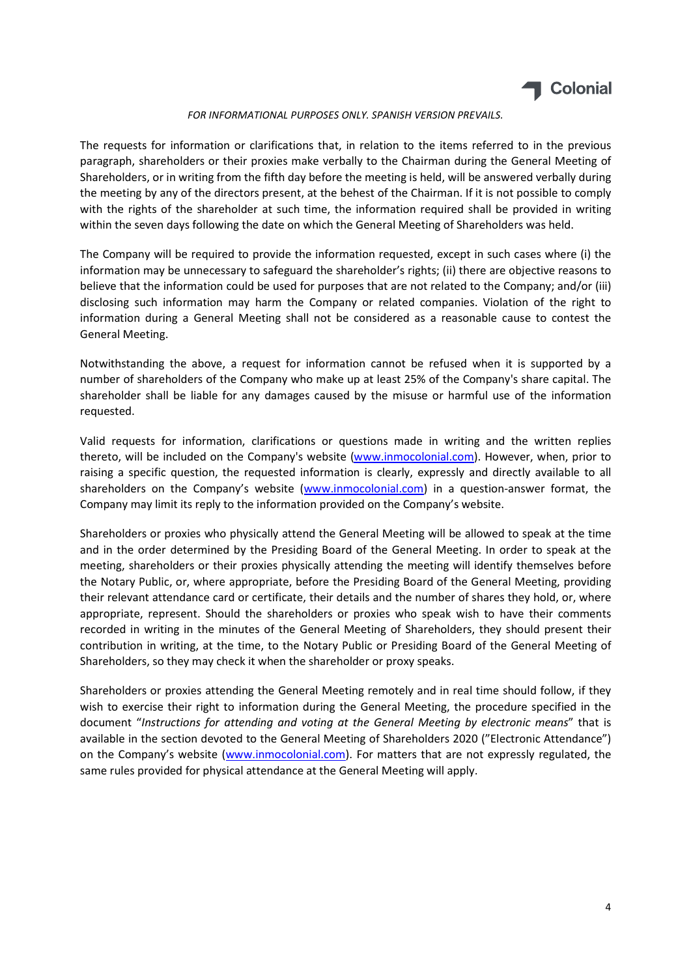

The requests for information or clarifications that, in relation to the items referred to in the previous paragraph, shareholders or their proxies make verbally to the Chairman during the General Meeting of Shareholders, or in writing from the fifth day before the meeting is held, will be answered verbally during the meeting by any of the directors present, at the behest of the Chairman. If it is not possible to comply with the rights of the shareholder at such time, the information required shall be provided in writing within the seven days following the date on which the General Meeting of Shareholders was held.

The Company will be required to provide the information requested, except in such cases where (i) the information may be unnecessary to safeguard the shareholder's rights; (ii) there are objective reasons to believe that the information could be used for purposes that are not related to the Company; and/or (iii) disclosing such information may harm the Company or related companies. Violation of the right to information during a General Meeting shall not be considered as a reasonable cause to contest the General Meeting.

Notwithstanding the above, a request for information cannot be refused when it is supported by a number of shareholders of the Company who make up at least 25% of the Company's share capital. The shareholder shall be liable for any damages caused by the misuse or harmful use of the information requested.

Valid requests for information, clarifications or questions made in writing and the written replies thereto, will be included on the Company's website (www.inmocolonial.com). However, when, prior to raising a specific question, the requested information is clearly, expressly and directly available to all shareholders on the Company's website (www.inmocolonial.com) in a question-answer format, the Company may limit its reply to the information provided on the Company's website.

Shareholders or proxies who physically attend the General Meeting will be allowed to speak at the time and in the order determined by the Presiding Board of the General Meeting. In order to speak at the meeting, shareholders or their proxies physically attending the meeting will identify themselves before the Notary Public, or, where appropriate, before the Presiding Board of the General Meeting, providing their relevant attendance card or certificate, their details and the number of shares they hold, or, where appropriate, represent. Should the shareholders or proxies who speak wish to have their comments recorded in writing in the minutes of the General Meeting of Shareholders, they should present their contribution in writing, at the time, to the Notary Public or Presiding Board of the General Meeting of Shareholders, so they may check it when the shareholder or proxy speaks.

Shareholders or proxies attending the General Meeting remotely and in real time should follow, if they wish to exercise their right to information during the General Meeting, the procedure specified in the document "Instructions for attending and voting at the General Meeting by electronic means" that is available in the section devoted to the General Meeting of Shareholders 2020 ("Electronic Attendance") on the Company's website (www.inmocolonial.com). For matters that are not expressly regulated, the same rules provided for physical attendance at the General Meeting will apply.